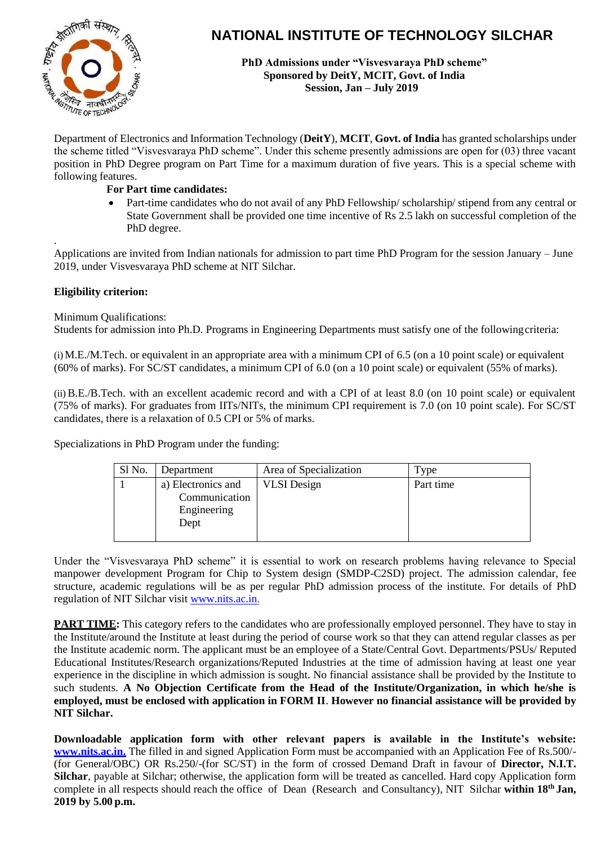

# **NATIONAL INSTITUTE OF TECHNOLOGY SILCHAR**

**PhD Admissions under "Visvesvaraya PhD scheme" Sponsored by DeitY, MCIT, Govt. of India Session, Jan – July 2019**

Department of Electronics and Information Technology (**DeitY**), **MCIT**, **Govt. of India** has granted scholarships under the scheme titled "Visvesvaraya PhD scheme". Under this scheme presently admissions are open for (03) three vacant position in PhD Degree program on Part Time for a maximum duration of five years. This is a special scheme with following features.

## **For Part time candidates:**

• Part-time candidates who do not avail of any PhD Fellowship/ scholarship/ stipend from any central or State Government shall be provided one time incentive of Rs 2.5 lakh on successful completion of the PhD degree.

. Applications are invited from Indian nationals for admission to part time PhD Program for the session January – June 2019, under Visvesvaraya PhD scheme at NIT Silchar.

# **Eligibility criterion:**

Minimum Qualifications:

Students for admission into Ph.D. Programs in Engineering Departments must satisfy one of the followingcriteria:

(i)M.E./M.Tech. or equivalent in an appropriate area with a minimum CPI of 6.5 (on a 10 point scale) or equivalent (60% of marks). For SC/ST candidates, a minimum CPI of 6.0 (on a 10 point scale) or equivalent (55% of marks).

(ii) B.E./B.Tech. with an excellent academic record and with a CPI of at least 8.0 (on 10 point scale) or equivalent (75% of marks). For graduates from IITs/NITs, the minimum CPI requirement is 7.0 (on 10 point scale). For SC/ST candidates, there is a relaxation of 0.5 CPI or 5% of marks.

Specializations in PhD Program under the funding:

| Sl No. | Department                                                 | Area of Specialization | Type      |
|--------|------------------------------------------------------------|------------------------|-----------|
|        | a) Electronics and<br>Communication<br>Engineering<br>Dept | <b>VLSI</b> Design     | Part time |

Under the "Visvesvaraya PhD scheme" it is essential to work on research problems having relevance to Special manpower development Program for Chip to System design (SMDP-C2SD) project. The admission calendar, fee structure, academic regulations will be as per regular PhD admission process of the institute. For details of PhD regulation of NIT Silchar visit [www.nits.ac.in.](http://www.nitdgp.ac.in/)

**PART TIME:** This category refers to the candidates who are professionally employed personnel. They have to stay in the Institute/around the Institute at least during the period of course work so that they can attend regular classes as per the Institute academic norm. The applicant must be an employee of a State/Central Govt. Departments/PSUs/ Reputed Educational Institutes/Research organizations/Reputed Industries at the time of admission having at least one year experience in the discipline in which admission is sought. No financial assistance shall be provided by the Institute to such students. **A No Objection Certificate from the Head of the Institute/Organization, in which he/she is employed, must be enclosed with application in FORM II**. **However no financial assistance will be provided by NIT Silchar.**

**Downloadable application form with other relevant papers is available in the Institute's website: [www.nits.ac.in.](http://www.nits.ac.in/)** The filled in and signed Application Form must be accompanied with an Application Fee of Rs.500/- (for General/OBC) OR Rs.250/-(for SC/ST) in the form of crossed Demand Draft in favour of **Director, N.I.T. Silchar**, payable at Silchar; otherwise, the application form will be treated as cancelled. Hard copy Application form complete in all respects should reach the office of Dean (Research and Consultancy), NIT Silchar **within 18th Jan, 2019 by 5.00 p.m.**